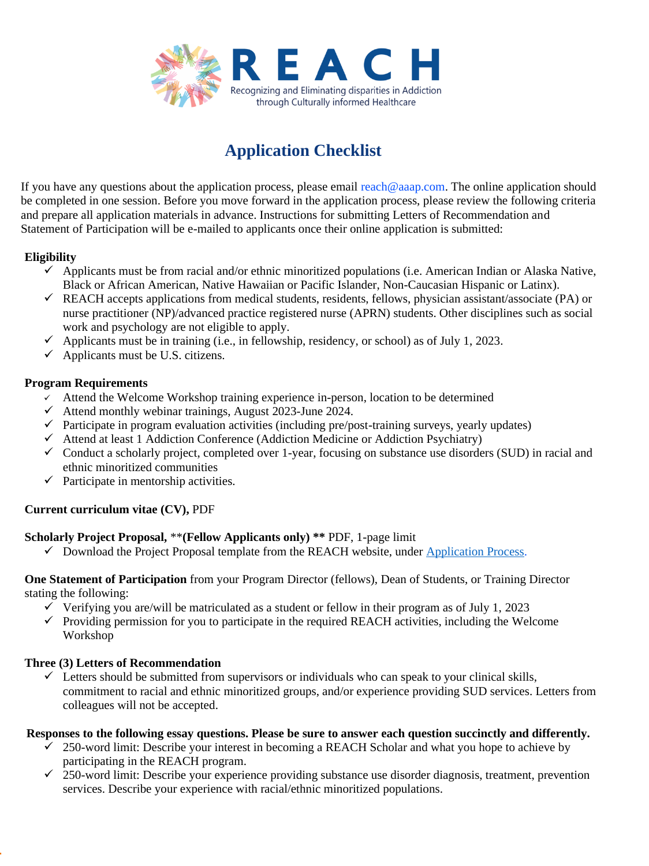

# **Application Checklist**

If you have any questions about the application process, please email reach@aaap.com. The online application should be completed in one session. Before you move forward in the application process, please review the following criteria and prepare all application materials in advance. Instructions for submitting Letters of Recommendation and Statement of Participation will be e-mailed to applicants once their online application is submitted:

## **Eligibility**

- $\checkmark$  Applicants must be from racial and/or ethnic minoritized populations (i.e. American Indian or Alaska Native, Black or African American, Native Hawaiian or Pacific Islander, Non-Caucasian Hispanic or Latinx).
- ✓ REACH accepts applications from medical students, residents, fellows, physician assistant/associate (PA) or nurse practitioner (NP)/advanced practice registered nurse (APRN) students. Other disciplines such as social work and psychology are not eligible to apply.
- $\checkmark$  Applicants must be in training (i.e., in fellowship, residency, or school) as of July 1, 2023.
- $\checkmark$  Applicants must be U.S. citizens.

## **Program Requirements**

- $\checkmark$  Attend the Welcome Workshop training experience in-person, location to be determined
- $\checkmark$  Attend monthly webinar trainings, August 2023-June 2024.
- ✓ Participate in program evaluation activities (including pre/post-training surveys, yearly updates)
- ✓ Attend at least 1 Addiction Conference (Addiction Medicine or Addiction Psychiatry)
- $\checkmark$  Conduct a scholarly project, completed over 1-year, focusing on substance use disorders (SUD) in racial and ethnic minoritized communities
- $\checkmark$  Participate in mentorship activities.

## **Current curriculum vitae (CV),** PDF

## **Scholarly Project Proposal,** \*\***(Fellow Applicants only) \*\*** PDF, 1-page limit

 $\checkmark$  Download the Project Proposal template from the REACH website, under [Application Process.](https://reachgrant.org/application-process/)

**One Statement of Participation** from your Program Director (fellows), Dean of Students, or Training Director stating the following:

- $\checkmark$  Verifying you are/will be matriculated as a student or fellow in their program as of July 1, 2023
- $\checkmark$  Providing permission for you to participate in the required REACH activities, including the Welcome Workshop

## **Three (3) Letters of Recommendation**

 $\checkmark$  Letters should be submitted from supervisors or individuals who can speak to your clinical skills, commitment to racial and ethnic minoritized groups, and/or experience providing SUD services. Letters from colleagues will not be accepted.

## **Responses to the following essay questions. Please be sure to answer each question succinctly and differently.**

- $\checkmark$  250-word limit: Describe your interest in becoming a REACH Scholar and what you hope to achieve by participating in the REACH program.
- $\checkmark$  250-word limit: Describe your experience providing substance use disorder diagnosis, treatment, prevention services. Describe your experience with racial/ethnic minoritized populations.